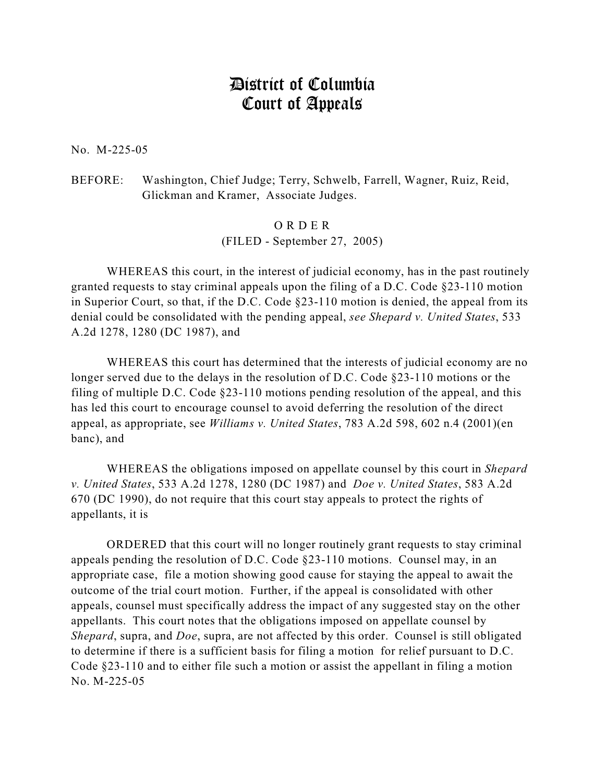## District of Columbia Court of Appeals

No. M-225-05

BEFORE: Washington, Chief Judge; Terry, Schwelb, Farrell, Wagner, Ruiz, Reid, Glickman and Kramer, Associate Judges.

> O R D E R (FILED - September 27, 2005)

WHEREAS this court, in the interest of judicial economy, has in the past routinely granted requests to stay criminal appeals upon the filing of a D.C. Code §23-110 motion in Superior Court, so that, if the D.C. Code §23-110 motion is denied, the appeal from its denial could be consolidated with the pending appeal, *see Shepard v. United States*, 533 A.2d 1278, 1280 (DC 1987), and

WHEREAS this court has determined that the interests of judicial economy are no longer served due to the delays in the resolution of D.C. Code §23-110 motions or the filing of multiple D.C. Code §23-110 motions pending resolution of the appeal, and this has led this court to encourage counsel to avoid deferring the resolution of the direct appeal, as appropriate, see *Williams v. United States*, 783 A.2d 598, 602 n.4 (2001)(en banc), and

WHEREAS the obligations imposed on appellate counsel by this court in *Shepard v. United States*, 533 A.2d 1278, 1280 (DC 1987) and *Doe v. United States*, 583 A.2d 670 (DC 1990), do not require that this court stay appeals to protect the rights of appellants, it is

ORDERED that this court will no longer routinely grant requests to stay criminal appeals pending the resolution of D.C. Code §23-110 motions. Counsel may, in an appropriate case, file a motion showing good cause for staying the appeal to await the outcome of the trial court motion. Further, if the appeal is consolidated with other appeals, counsel must specifically address the impact of any suggested stay on the other appellants. This court notes that the obligations imposed on appellate counsel by *Shepard*, supra, and *Doe*, supra, are not affected by this order. Counsel is still obligated to determine if there is a sufficient basis for filing a motion for relief pursuant to D.C. Code §23-110 and to either file such a motion or assist the appellant in filing a motion No. M-225-05